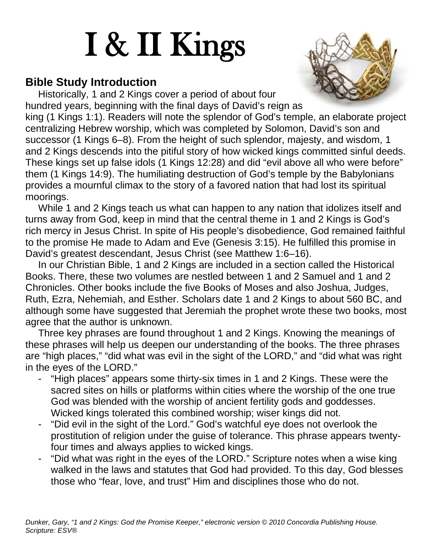# I & II Kings

#### **Bible Study Introduction**



Historically, 1 and 2 Kings cover a period of about four hundred years, beginning with the final days of David's reign as king (1 Kings 1:1). Readers will note the splendor of God's temple, an elaborate project centralizing Hebrew worship, which was completed by Solomon, David's son and successor (1 Kings 6–8). From the height of such splendor, majesty, and wisdom, 1 and 2 Kings descends into the pitiful story of how wicked kings committed sinful deeds. These kings set up false idols (1 Kings 12:28) and did "evil above all who were before" them (1 Kings 14:9). The humiliating destruction of God's temple by the Babylonians provides a mournful climax to the story of a favored nation that had lost its spiritual moorings.

While 1 and 2 Kings teach us what can happen to any nation that idolizes itself and turns away from God, keep in mind that the central theme in 1 and 2 Kings is God's rich mercy in Jesus Christ. In spite of His people's disobedience, God remained faithful to the promise He made to Adam and Eve (Genesis 3:15). He fulfilled this promise in David's greatest descendant, Jesus Christ (see Matthew 1:6–16).

In our Christian Bible, 1 and 2 Kings are included in a section called the Historical Books. There, these two volumes are nestled between 1 and 2 Samuel and 1 and 2 Chronicles. Other books include the five Books of Moses and also Joshua, Judges, Ruth, Ezra, Nehemiah, and Esther. Scholars date 1 and 2 Kings to about 560 BC, and although some have suggested that Jeremiah the prophet wrote these two books, most agree that the author is unknown.

Three key phrases are found throughout 1 and 2 Kings. Knowing the meanings of these phrases will help us deepen our understanding of the books. The three phrases are "high places," "did what was evil in the sight of the LORD," and "did what was right in the eyes of the LORD."

- "High places" appears some thirty-six times in 1 and 2 Kings. These were the sacred sites on hills or platforms within cities where the worship of the one true God was blended with the worship of ancient fertility gods and goddesses. Wicked kings tolerated this combined worship; wiser kings did not.
- "Did evil in the sight of the Lord." God's watchful eye does not overlook the prostitution of religion under the guise of tolerance. This phrase appears twentyfour times and always applies to wicked kings.
- "Did what was right in the eyes of the LORD." Scripture notes when a wise king walked in the laws and statutes that God had provided. To this day, God blesses those who "fear, love, and trust" Him and disciplines those who do not.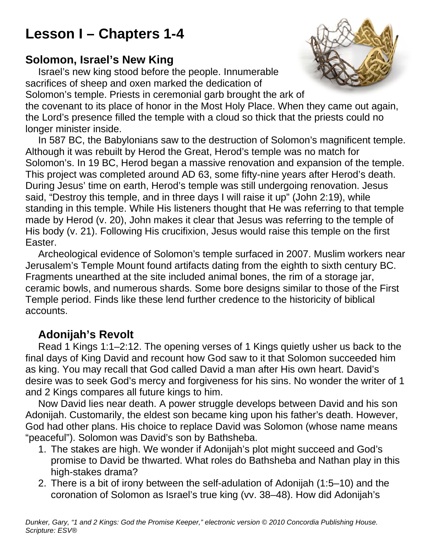# **Lesson I – Chapters 1-4**

#### **Solomon, Israel's New King**

Israel's new king stood before the people. Innumerable sacrifices of sheep and oxen marked the dedication of Solomon's temple. Priests in ceremonial garb brought the ark of the covenant to its place of honor in the Most Holy Place. When they came out again, the Lord's presence filled the temple with a cloud so thick that the priests could no longer minister inside.

In 587 BC, the Babylonians saw to the destruction of Solomon's magnificent temple. Although it was rebuilt by Herod the Great, Herod's temple was no match for Solomon's. In 19 BC, Herod began a massive renovation and expansion of the temple. This project was completed around AD 63, some fifty-nine years after Herod's death. During Jesus' time on earth, Herod's temple was still undergoing renovation. Jesus said, "Destroy this temple, and in three days I will raise it up" (John 2:19), while standing in this temple. While His listeners thought that He was referring to that temple made by Herod (v. 20), John makes it clear that Jesus was referring to the temple of His body (v. 21). Following His crucifixion, Jesus would raise this temple on the first Easter.

Archeological evidence of Solomon's temple surfaced in 2007. Muslim workers near Jerusalem's Temple Mount found artifacts dating from the eighth to sixth century BC. Fragments unearthed at the site included animal bones, the rim of a storage jar, ceramic bowls, and numerous shards. Some bore designs similar to those of the First Temple period. Finds like these lend further credence to the historicity of biblical accounts.

#### **Adonijah's Revolt**

Read 1 Kings 1:1–2:12. The opening verses of 1 Kings quietly usher us back to the final days of King David and recount how God saw to it that Solomon succeeded him as king. You may recall that God called David a man after His own heart. David's desire was to seek God's mercy and forgiveness for his sins. No wonder the writer of 1 and 2 Kings compares all future kings to him.

Now David lies near death. A power struggle develops between David and his son Adonijah. Customarily, the eldest son became king upon his father's death. However, God had other plans. His choice to replace David was Solomon (whose name means "peaceful"). Solomon was David's son by Bathsheba.

- 1. The stakes are high. We wonder if Adonijah's plot might succeed and God's promise to David be thwarted. What roles do Bathsheba and Nathan play in this high-stakes drama?
- 2. There is a bit of irony between the self-adulation of Adonijah (1:5–10) and the coronation of Solomon as Israel's true king (vv. 38–48). How did Adonijah's

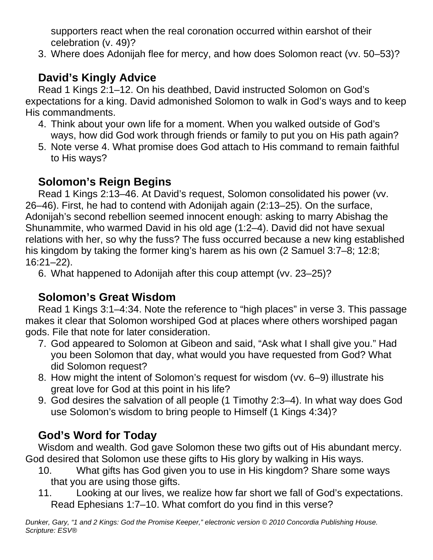supporters react when the real coronation occurred within earshot of their celebration (v. 49)?

3. Where does Adonijah flee for mercy, and how does Solomon react (vv. 50–53)?

## **David's Kingly Advice**

Read 1 Kings 2:1–12. On his deathbed, David instructed Solomon on God's expectations for a king. David admonished Solomon to walk in God's ways and to keep His commandments.

- 4. Think about your own life for a moment. When you walked outside of God's ways, how did God work through friends or family to put you on His path again?
- 5. Note verse 4. What promise does God attach to His command to remain faithful to His ways?

#### **Solomon's Reign Begins**

Read 1 Kings 2:13–46. At David's request, Solomon consolidated his power (vv. 26–46). First, he had to contend with Adonijah again (2:13–25). On the surface, Adonijah's second rebellion seemed innocent enough: asking to marry Abishag the Shunammite, who warmed David in his old age (1:2–4). David did not have sexual relations with her, so why the fuss? The fuss occurred because a new king established his kingdom by taking the former king's harem as his own (2 Samuel 3:7–8; 12:8; 16:21–22).

6. What happened to Adonijah after this coup attempt (vv. 23–25)?

#### **Solomon's Great Wisdom**

Read 1 Kings 3:1–4:34. Note the reference to "high places" in verse 3. This passage makes it clear that Solomon worshiped God at places where others worshiped pagan gods. File that note for later consideration.

- 7. God appeared to Solomon at Gibeon and said, "Ask what I shall give you." Had you been Solomon that day, what would you have requested from God? What did Solomon request?
- 8. How might the intent of Solomon's request for wisdom (vv. 6–9) illustrate his great love for God at this point in his life?
- 9. God desires the salvation of all people (1 Timothy 2:3–4). In what way does God use Solomon's wisdom to bring people to Himself (1 Kings 4:34)?

## **God's Word for Today**

Wisdom and wealth. God gave Solomon these two gifts out of His abundant mercy. God desired that Solomon use these gifts to His glory by walking in His ways.

- 10. What gifts has God given you to use in His kingdom? Share some ways that you are using those gifts.
- 11. Looking at our lives, we realize how far short we fall of God's expectations. Read Ephesians 1:7–10. What comfort do you find in this verse?